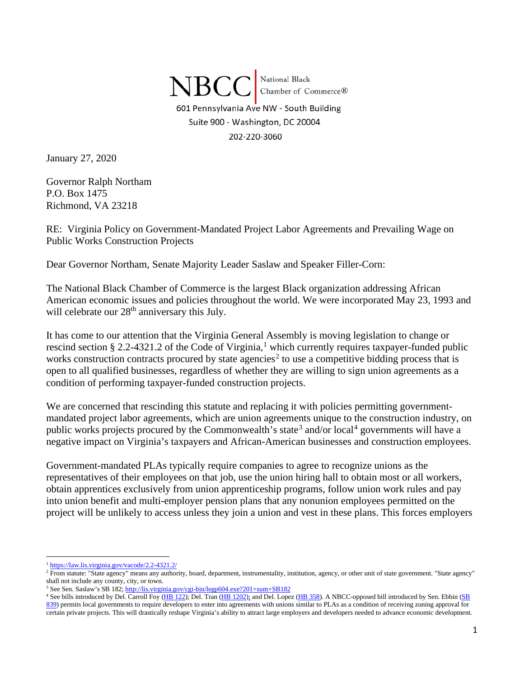$\rm NBCC$  National Black<br>Chamber of Commerce® 601 Pennsylvania Ave NW - South Building Suite 900 - Washington, DC 20004 202-220-3060

January 27, 2020

Governor Ralph Northam P.O. Box 1475 Richmond, VA 23218

RE: Virginia Policy on Government-Mandated Project Labor Agreements and Prevailing Wage on Public Works Construction Projects

Dear Governor Northam, Senate Majority Leader Saslaw and Speaker Filler-Corn:

The National Black Chamber of Commerce is the largest Black organization addressing African American economic issues and policies throughout the world. We were incorporated May 23, 1993 and will celebrate our 28<sup>th</sup> anniversary this July.

It has come to our attention that the Virginia General Assembly is moving legislation to change or rescind section § 2.2-432[1](#page-0-0).2 of the Code of Virginia,<sup>1</sup> which currently requires taxpayer-funded public works construction contracts procured by state agencies<sup>[2](#page-0-1)</sup> to use a competitive bidding process that is open to all qualified businesses, regardless of whether they are willing to sign union agreements as a condition of performing taxpayer-funded construction projects.

We are concerned that rescinding this statute and replacing it with policies permitting governmentmandated project labor agreements, which are union agreements unique to the construction industry, on public works projects procured by the Commonwealth's state<sup>[3](#page-0-2)</sup> and/or local<sup>[4](#page-0-3)</sup> governments will have a negative impact on Virginia's taxpayers and African-American businesses and construction employees.

Government-mandated PLAs typically require companies to agree to recognize unions as the representatives of their employees on that job, use the union hiring hall to obtain most or all workers, obtain apprentices exclusively from union apprenticeship programs, follow union work rules and pay into union benefit and multi-employer pension plans that any nonunion employees permitted on the project will be unlikely to access unless they join a union and vest in these plans. This forces employers

<sup>&</sup>lt;sup>1</sup> <https://law.lis.virginia.gov/vacode/2.2-4321.2/>

<span id="page-0-1"></span><span id="page-0-0"></span><sup>&</sup>lt;sup>2</sup> From statute: "State agency" means any authority, board, department, instrumentality, institution, agency, or other unit of state government. "State agency" shall not include any county, city, or town.

<span id="page-0-2"></span><sup>&</sup>lt;sup>3</sup> See Sen. Saslaw's SB 182[; http://lis.virginia.gov/cgi-bin/legp604.exe?201+sum+SB182](http://lis.virginia.gov/cgi-bin/legp604.exe?201+sum+SB182)

<span id="page-0-3"></span><sup>4</sup> See bills introduced by Del. Carroll Foy (HB 122); Del. Tran [\(HB 1202\)](http://lis.virginia.gov/cgi-bin/legp604.exe?201+ful+HB1202); and Del. Lopez [\(HB 358\)](http://lis.virginia.gov/cgi-bin/legp604.exe?201+ful+HB358+hil). A NBCC-opposed bill introduced by Sen. Ebbin [\(SB](http://lis.virginia.gov/cgi-bin/legp604.exe?201+ful+SB839)  [839\)](http://lis.virginia.gov/cgi-bin/legp604.exe?201+ful+SB839) permits local governments to require developers to enter into agreements with unions similar to PLAs as a condition of receiving zoning approval for certain private projects. This will drastically reshape Virginia's ability to attract large employers and developers needed to advance economic development.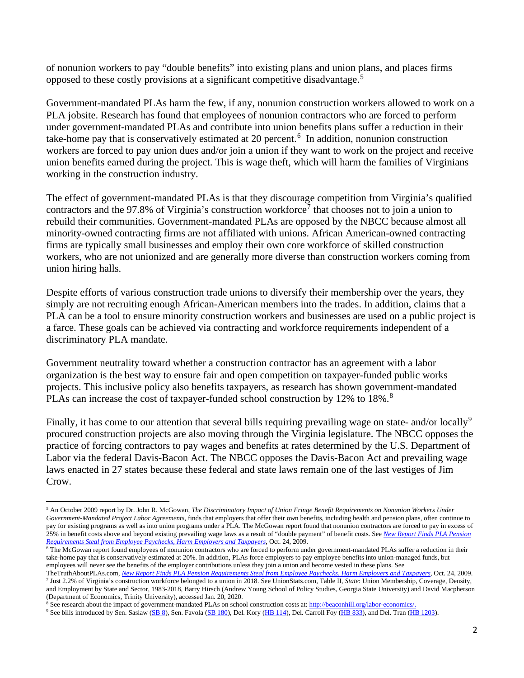of nonunion workers to pay "double benefits" into existing plans and union plans, and places firms opposed to these costly provisions at a significant competitive disadvantage.[5](#page-1-0)

Government-mandated PLAs harm the few, if any, nonunion construction workers allowed to work on a PLA jobsite. Research has found that employees of nonunion contractors who are forced to perform under government-mandated PLAs and contribute into union benefits plans suffer a reduction in their take-home pay that is conservatively estimated at 20 percent.<sup>[6](#page-1-1)</sup> In addition, nonunion construction workers are forced to pay union dues and/or join a union if they want to work on the project and receive union benefits earned during the project. This is wage theft, which will harm the families of Virginians working in the construction industry.

The effect of government-mandated PLAs is that they discourage competition from Virginia's qualified contractors and the 9[7](#page-1-2).8% of Virginia's construction workforce<sup>7</sup> that chooses not to join a union to rebuild their communities. Government-mandated PLAs are opposed by the NBCC because almost all minority-owned contracting firms are not affiliated with unions. African American-owned contracting firms are typically small businesses and employ their own core workforce of skilled construction workers, who are not unionized and are generally more diverse than construction workers coming from union hiring halls.

Despite efforts of various construction trade unions to diversify their membership over the years, they simply are not recruiting enough African-American members into the trades. In addition, claims that a PLA can be a tool to ensure minority construction workers and businesses are used on a public project is a farce. These goals can be achieved via contracting and workforce requirements independent of a discriminatory PLA mandate.

Government neutrality toward whether a construction contractor has an agreement with a labor organization is the best way to ensure fair and open competition on taxpayer-funded public works projects. This inclusive policy also benefits taxpayers, as research has shown government-mandated PLAs can increase the cost of taxpayer-funded school construction by 12% to 1[8](#page-1-3)%.<sup>8</sup>

Finally, it has come to our attention that several bills requiring prevailing wage on state- and/or locally<sup>[9](#page-1-4)</sup> procured construction projects are also moving through the Virginia legislature. The NBCC opposes the practice of forcing contractors to pay wages and benefits at rates determined by the U.S. Department of Labor via the federal Davis-Bacon Act. The NBCC opposes the Davis-Bacon Act and prevailing wage laws enacted in 27 states because these federal and state laws remain one of the last vestiges of Jim Crow.

<span id="page-1-0"></span><sup>5</sup> An October 2009 report by Dr. John R. McGowan, *The Discriminatory Impact of Union Fringe Benefit Requirements on Nonunion Workers Under Government-Mandated Project Labor Agreements*, finds that employers that offer their own benefits, including health and pension plans, often continue to pay for existing programs as well as into union programs under a PLA. The McGowan report found that nonunion contractors are forced to pay in excess of 25% in benefit costs above and beyond existing prevailing wage laws as a result of "double payment" of benefit costs. See *[New Report Finds PLA Pension](http://thetruthaboutplas.com/2009/10/24/new-report-finds-pla-pension-requirements-steal-from-employee-paychecks-harm-employers-and-taxpayers/)  [Requirements Steal from Employee Paychecks, Harm Employers and Taxpayers](http://thetruthaboutplas.com/2009/10/24/new-report-finds-pla-pension-requirements-steal-from-employee-paychecks-harm-employers-and-taxpayers/)*, Oct. 24, 2009.

<span id="page-1-1"></span> $\overline{6}$  The McGowan report found employees of nonunion contractors who are forced to perform under government-mandated PLAs suffer a reduction in their take-home pay that is conservatively estimated at 20%. In addition, PLAs force employers to pay employee benefits into union-managed funds, but employees will never see the benefits of the employer contributions unless they join a union and become vested in these plans. See

<span id="page-1-2"></span>TheTruthAboutPLAs.com, *[New Report Finds PLA Pension Requirements Steal from Employee Paychecks, Harm Employers and Taxpayers](http://thetruthaboutplas.com/2009/10/24/new-report-finds-pla-pension-requirements-steal-from-employee-paychecks-harm-employers-and-taxpayers/)*, Oct. 24, 2009. <sup>7</sup> Just 2.2% of Virginia's construction workforce belonged to a union in 2018. See UnionStats.com, Table II, *State*: Union Membership, Coverage, Density, and Employment by State and Sector, 1983-2018, Barry Hirsch (Andrew Young School of Policy Studies, Georgia State University) and David Macpherson

<span id="page-1-3"></span><sup>(</sup>Department of Economics, Trinity University), accessed Jan. 20, 2020. <sup>8</sup> See research about the impact of government-mandated PLAs on school construction costs at[: http://beaconhill.org/labor-economics/.](http://beaconhill.org/labor-economics/)

<span id="page-1-4"></span><sup>&</sup>lt;sup>9</sup> See bills introduced by Sen. Saslaw [\(SB 8\)](http://lis.virginia.gov/cgi-bin/legp604.exe?201+sum+SB8), Sen. Favola [\(SB 180\)](http://lis.virginia.gov/cgi-bin/legp604.exe?201+cab+SC10108SB0180+SBREF), Del. Kory [\(HB 114\)](http://lis.virginia.gov/cgi-bin/legp604.exe?201+sum+HB114), Del. Carroll Foy [\(HB 833\)](http://lis.virginia.gov/cgi-bin/legp604.exe?ses=201&typ=bil&val=hb833), and Del. Tran [\(HB 1203\)](http://lis.virginia.gov/cgi-bin/legp604.exe?201+sum+HB1203).